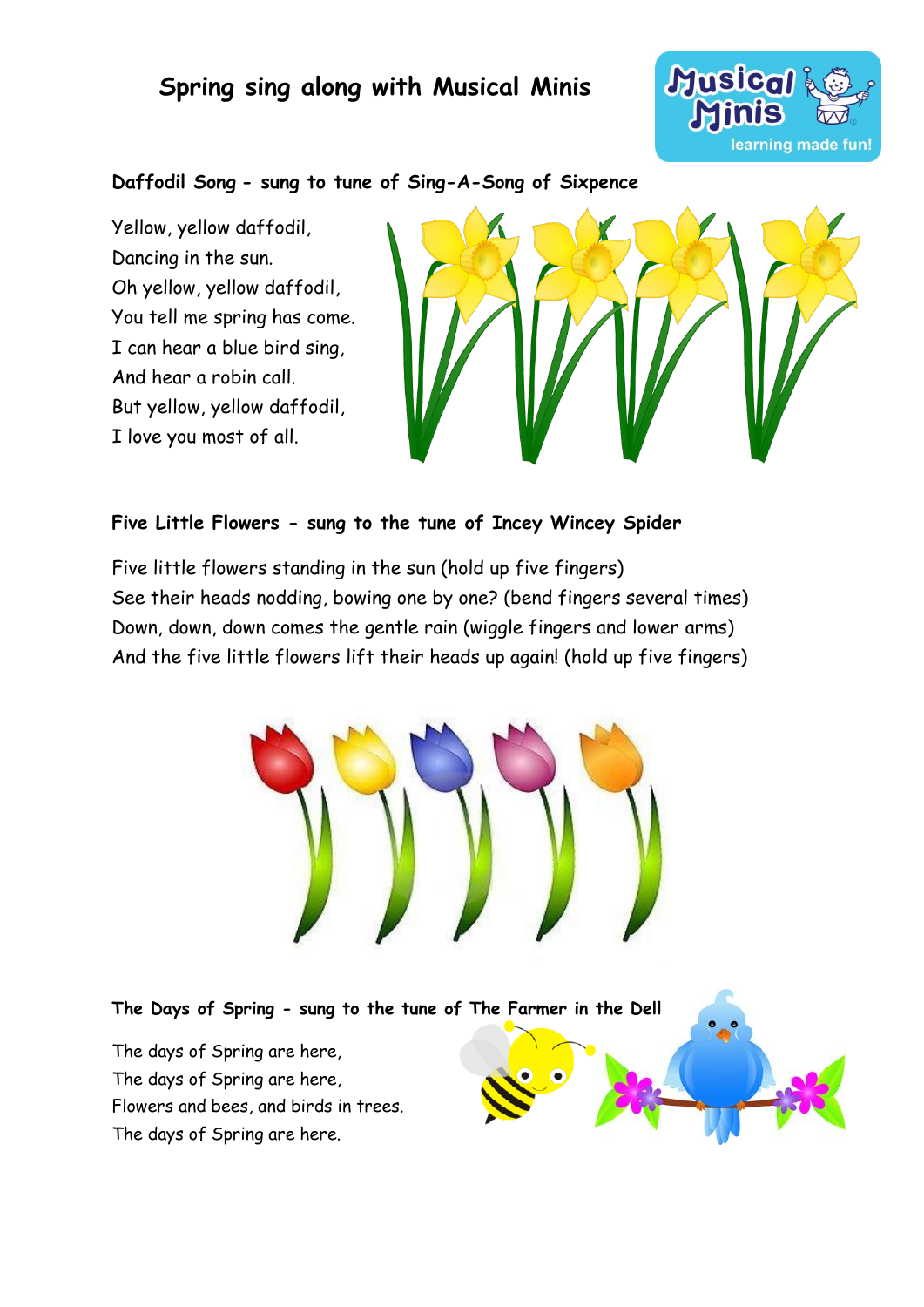## **Spring sing along with Musical Minis**



#### **Daffodil Song - sung to tune of Sing-A-Song of Sixpence**

Yellow, yellow daffodil, Dancing in the sun. Oh yellow, yellow daffodil, You tell me spring has come. I can hear a blue bird sing, And hear a robin call. But yellow, yellow daffodil, I love you most of all.



#### **Five Little Flowers - sung to the tune of Incey Wincey Spider**

Five little flowers standing in the sun (hold up five fingers) See their heads nodding, bowing one by one? (bend fingers several times) Down, down, down comes the gentle rain (wiggle fingers and lower arms) And the five little flowers lift their heads up again! (hold up five fingers)



**The Days of Spring - sung to the tune of The Farmer in the Dell** The days of Spring are here, The days of Spring are here, Flowers and bees, and birds in trees. The days of Spring are here.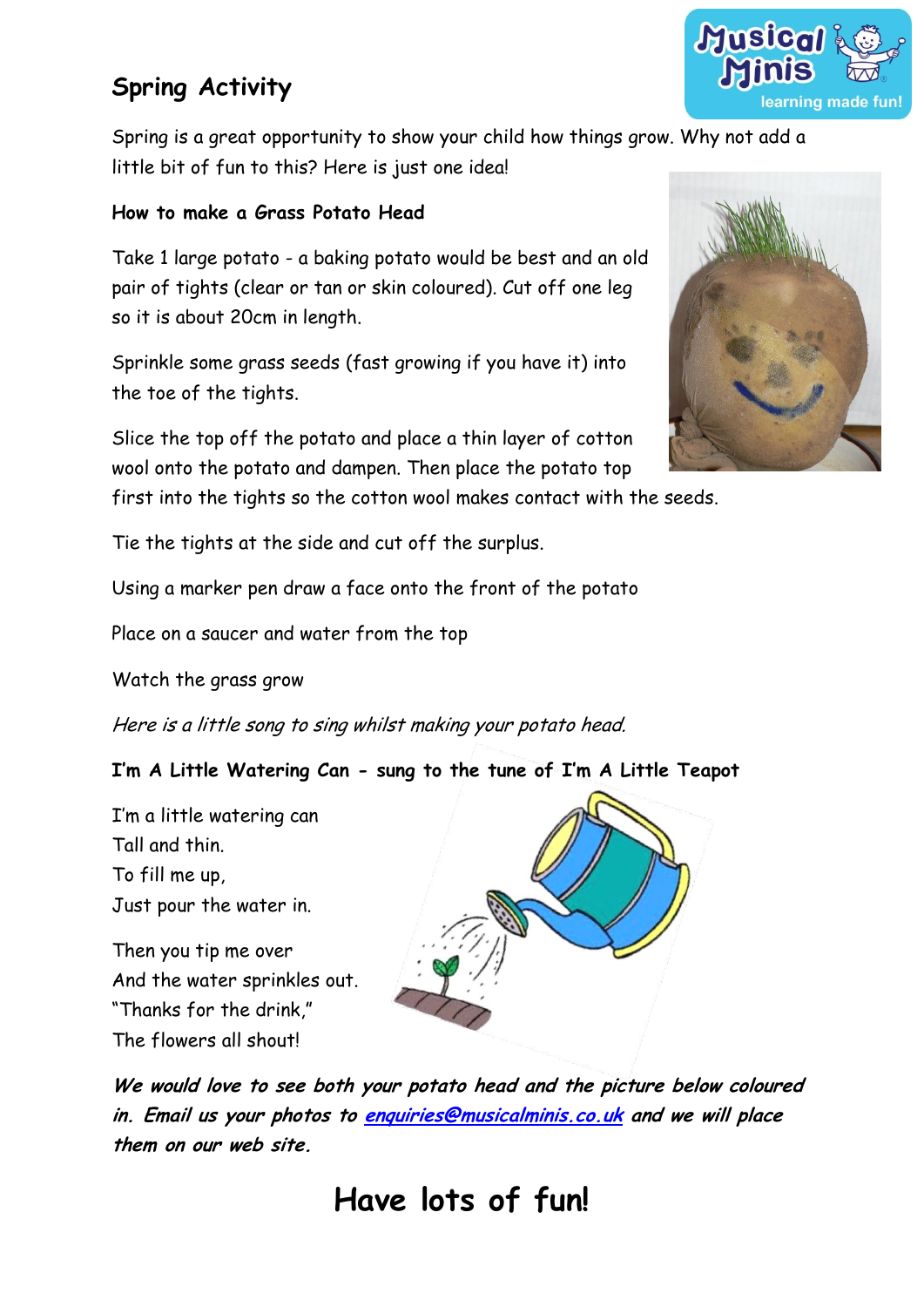# **Spring Activity**

Spring is a great opportunity to show your child how things grow. Why not add a little bit of fun to this? Here is just one idea!

### **How to make a Grass Potato Head**

Take 1 large potato - a baking potato would be best and an old pair of tights (clear or tan or skin coloured). Cut off one leg so it is about 20cm in length.

Sprinkle some grass seeds (fast growing if you have it) into the toe of the tights.

Slice the top off the potato and place a thin layer of cotton wool onto the potato and dampen. Then place the potato top

first into the tights so the cotton wool makes contact with the seeds.

Tie the tights at the side and cut off the surplus.

Using a marker pen draw a face onto the front of the potato

Place on a saucer and water from the top

Watch the grass grow

Here is a little song to sing whilst making your potato head.

### **I'm A Little Watering Can - sung to the tune of I'm A Little Teapot**

I'm a little watering can Tall and thin. To fill me up, Just pour the water in.

Then you tip me over And the water sprinkles out. "Thanks for the drink," The flowers all shout!



**We would love to see both your potato head and the picture below coloured in. Email us your photos to [enquiries@musicalminis.co.uk](mailto:enquiries@musicalminis.co.uk) and we will place them on our web site.**





# **Have lots of fun!**